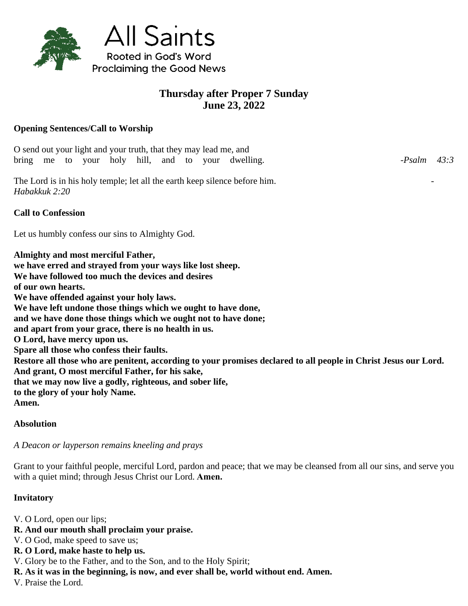



Rooted in God's Word **Proclaiming the Good News** 

# **Thursday after Proper 7 Sunday June 23, 2022**

# **Opening Sentences/Call to Worship**

O send out your light and your truth, that they may lead me, and bring me to your holy hill, and to your dwelling.  $-Psalm$  43:3

The Lord is in his holy temple; let all the earth keep silence before him. *Habakkuk 2:20*

**Call to Confession**

Let us humbly confess our sins to Almighty God.

**Almighty and most merciful Father, we have erred and strayed from your ways like lost sheep. We have followed too much the devices and desires of our own hearts. We have offended against your holy laws. We have left undone those things which we ought to have done, and we have done those things which we ought not to have done; and apart from your grace, there is no health in us. O Lord, have mercy upon us. Spare all those who confess their faults. Restore all those who are penitent, according to your promises declared to all people in Christ Jesus our Lord. And grant, O most merciful Father, for his sake, that we may now live a godly, righteous, and sober life, to the glory of your holy Name. Amen.**

# **Absolution**

*A Deacon or layperson remains kneeling and prays*

Grant to your faithful people, merciful Lord, pardon and peace; that we may be cleansed from all our sins, and serve you with a quiet mind; through Jesus Christ our Lord.**Amen.**

# **Invitatory**

- V. O Lord, open our lips;
- **R. And our mouth shall proclaim your praise.**
- V. O God, make speed to save us;
- **R. O Lord, make haste to help us.**
- V. Glory be to the Father, and to the Son, and to the Holy Spirit;
- **R. As it was in the beginning, is now, and ever shall be, world without end. Amen.**
- V. Praise the Lord.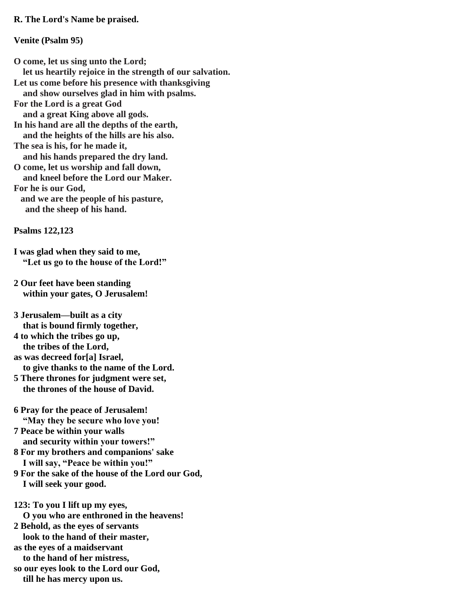### **R. The Lord's Name be praised.**

**Venite (Psalm 95)**

**O come, let us sing unto the Lord; let us heartily rejoice in the strength of our salvation. Let us come before his presence with thanksgiving and show ourselves glad in him with psalms. For the Lord is a great God and a great King above all gods. In his hand are all the depths of the earth, and the heights of the hills are his also. The sea is his, for he made it, and his hands prepared the dry land. O come, let us worship and fall down, and kneel before the Lord our Maker. For he is our God, and we are the people of his pasture, and the sheep of his hand. Psalms 122,123**

**I was glad when they said to me, "Let us go to the house of the Lord!"**

**2 Our feet have been standing within your gates, O Jerusalem!**

**3 Jerusalem—built as a city that is bound firmly together, 4 to which the tribes go up, the tribes of the Lord, as was decreed for[a] Israel,**

 **to give thanks to the name of the Lord.**

**5 There thrones for judgment were set, the thrones of the house of David.**

**6 Pray for the peace of Jerusalem! "May they be secure who love you!**

**7 Peace be within your walls and security within your towers!"**

**8 For my brothers and companions' sake I will say, "Peace be within you!"**

**9 For the sake of the house of the Lord our God, I will seek your good.**

**123: To you I lift up my eyes, O you who are enthroned in the heavens! 2 Behold, as the eyes of servants look to the hand of their master, as the eyes of a maidservant to the hand of her mistress, so our eyes look to the Lord our God, till he has mercy upon us.**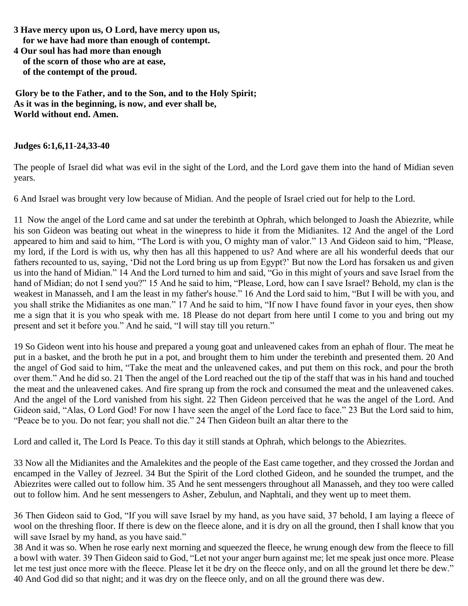**3 Have mercy upon us, O Lord, have mercy upon us, for we have had more than enough of contempt.**

**4 Our soul has had more than enough of the scorn of those who are at ease, of the contempt of the proud.**

**Glory be to the Father, and to the Son, and to the Holy Spirit; As it was in the beginning, is now, and ever shall be, World without end. Amen.**

### **Judges 6:1,6,11-24,33-40**

The people of Israel did what was evil in the sight of the Lord, and the Lord gave them into the hand of Midian seven years.

6 And Israel was brought very low because of Midian. And the people of Israel cried out for help to the Lord.

11 Now the angel of the Lord came and sat under the terebinth at Ophrah, which belonged to Joash the Abiezrite, while his son Gideon was beating out wheat in the winepress to hide it from the Midianites. 12 And the angel of the Lord appeared to him and said to him, "The Lord is with you, O mighty man of valor." 13 And Gideon said to him, "Please, my lord, if the Lord is with us, why then has all this happened to us? And where are all his wonderful deeds that our fathers recounted to us, saying, 'Did not the Lord bring us up from Egypt?' But now the Lord has forsaken us and given us into the hand of Midian." 14 And the Lord turned to him and said, "Go in this might of yours and save Israel from the hand of Midian; do not I send you?" 15 And he said to him, "Please, Lord, how can I save Israel? Behold, my clan is the weakest in Manasseh, and I am the least in my father's house." 16 And the Lord said to him, "But I will be with you, and you shall strike the Midianites as one man." 17 And he said to him, "If now I have found favor in your eyes, then show me a sign that it is you who speak with me. 18 Please do not depart from here until I come to you and bring out my present and set it before you." And he said, "I will stay till you return."

19 So Gideon went into his house and prepared a young goat and unleavened cakes from an ephah of flour. The meat he put in a basket, and the broth he put in a pot, and brought them to him under the terebinth and presented them. 20 And the angel of God said to him, "Take the meat and the unleavened cakes, and put them on this rock, and pour the broth over them." And he did so. 21 Then the angel of the Lord reached out the tip of the staff that was in his hand and touched the meat and the unleavened cakes. And fire sprang up from the rock and consumed the meat and the unleavened cakes. And the angel of the Lord vanished from his sight. 22 Then Gideon perceived that he was the angel of the Lord. And Gideon said, "Alas, O Lord God! For now I have seen the angel of the Lord face to face." 23 But the Lord said to him, "Peace be to you. Do not fear; you shall not die." 24 Then Gideon built an altar there to the

Lord and called it, The Lord Is Peace. To this day it still stands at Ophrah, which belongs to the Abiezrites.

33 Now all the Midianites and the Amalekites and the people of the East came together, and they crossed the Jordan and encamped in the Valley of Jezreel. 34 But the Spirit of the Lord clothed Gideon, and he sounded the trumpet, and the Abiezrites were called out to follow him. 35 And he sent messengers throughout all Manasseh, and they too were called out to follow him. And he sent messengers to Asher, Zebulun, and Naphtali, and they went up to meet them.

36 Then Gideon said to God, "If you will save Israel by my hand, as you have said, 37 behold, I am laying a fleece of wool on the threshing floor. If there is dew on the fleece alone, and it is dry on all the ground, then I shall know that you will save Israel by my hand, as you have said."

38 And it was so. When he rose early next morning and squeezed the fleece, he wrung enough dew from the fleece to fill a bowl with water. 39 Then Gideon said to God, "Let not your anger burn against me; let me speak just once more. Please let me test just once more with the fleece. Please let it be dry on the fleece only, and on all the ground let there be dew." 40 And God did so that night; and it was dry on the fleece only, and on all the ground there was dew.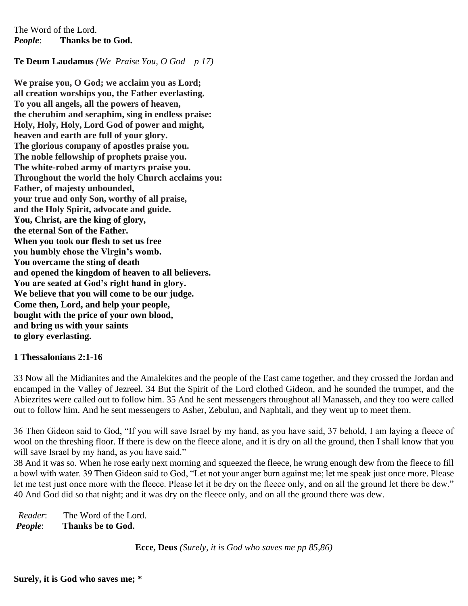The Word of the Lord. *People*: **Thanks be to God.**

### **Te Deum Laudamus** *(We Praise You, O God – p 17)*

**We praise you, O God; we acclaim you as Lord; all creation worships you, the Father everlasting. To you all angels, all the powers of heaven, the cherubim and seraphim, sing in endless praise: Holy, Holy, Holy, Lord God of power and might, heaven and earth are full of your glory. The glorious company of apostles praise you. The noble fellowship of prophets praise you. The white-robed army of martyrs praise you. Throughout the world the holy Church acclaims you: Father, of majesty unbounded, your true and only Son, worthy of all praise, and the Holy Spirit, advocate and guide. You, Christ, are the king of glory, the eternal Son of the Father. When you took our flesh to set us free you humbly chose the Virgin's womb. You overcame the sting of death and opened the kingdom of heaven to all believers. You are seated at God's right hand in glory. We believe that you will come to be our judge. Come then, Lord, and help your people, bought with the price of your own blood, and bring us with your saints to glory everlasting.**

### **1 Thessalonians 2:1-16**

33 Now all the Midianites and the Amalekites and the people of the East came together, and they crossed the Jordan and encamped in the Valley of Jezreel. 34 But the Spirit of the Lord clothed Gideon, and he sounded the trumpet, and the Abiezrites were called out to follow him. 35 And he sent messengers throughout all Manasseh, and they too were called out to follow him. And he sent messengers to Asher, Zebulun, and Naphtali, and they went up to meet them.

36 Then Gideon said to God, "If you will save Israel by my hand, as you have said, 37 behold, I am laying a fleece of wool on the threshing floor. If there is dew on the fleece alone, and it is dry on all the ground, then I shall know that you will save Israel by my hand, as you have said."

38 And it was so. When he rose early next morning and squeezed the fleece, he wrung enough dew from the fleece to fill a bowl with water. 39 Then Gideon said to God, "Let not your anger burn against me; let me speak just once more. Please let me test just once more with the fleece. Please let it be dry on the fleece only, and on all the ground let there be dew." 40 And God did so that night; and it was dry on the fleece only, and on all the ground there was dew.

 *Reader*: The Word of the Lord. *People*: **Thanks be to God.**

**Ecce, Deus** *(Surely, it is God who saves me pp 85,86)*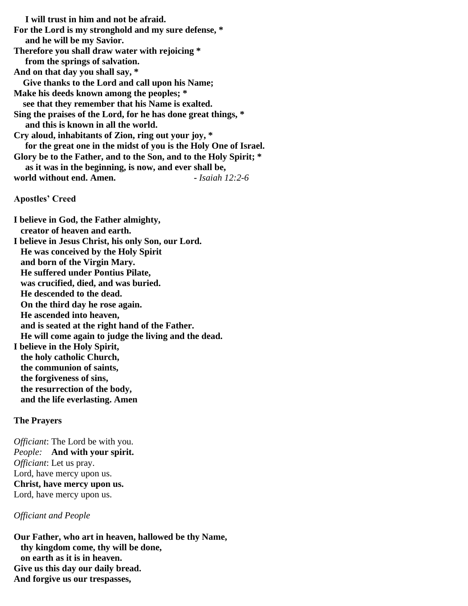**I will trust in him and not be afraid. For the Lord is my stronghold and my sure defense, \* and he will be my Savior. Therefore you shall draw water with rejoicing \* from the springs of salvation. And on that day you shall say, \* Give thanks to the Lord and call upon his Name; Make his deeds known among the peoples; \* see that they remember that his Name is exalted. Sing the praises of the Lord, for he has done great things, \* and this is known in all the world. Cry aloud, inhabitants of Zion, ring out your joy, \* for the great one in the midst of you is the Holy One of Israel. Glory be to the Father, and to the Son, and to the Holy Spirit; \* as it was in the beginning, is now, and ever shall be, world without end. Amen.** - *Isaiah 12:2-6* 

**Apostles' Creed**

**I believe in God, the Father almighty, creator of heaven and earth. I believe in Jesus Christ, his only Son, our Lord. He was conceived by the Holy Spirit and born of the Virgin Mary. He suffered under Pontius Pilate, was crucified, died, and was buried. He descended to the dead. On the third day he rose again. He ascended into heaven, and is seated at the right hand of the Father. He will come again to judge the living and the dead. I believe in the Holy Spirit,**

 **the holy catholic Church, the communion of saints, the forgiveness of sins, the resurrection of the body, and the life everlasting. Amen**

#### **The Prayers**

*Officiant*: The Lord be with you. *People:* **And with your spirit.** *Officiant*: Let us pray. Lord, have mercy upon us. **Christ, have mercy upon us.** Lord, have mercy upon us.

*Officiant and People*

**Our Father, who art in heaven, hallowed be thy Name, thy kingdom come, thy will be done, on earth as it is in heaven. Give us this day our daily bread. And forgive us our trespasses,**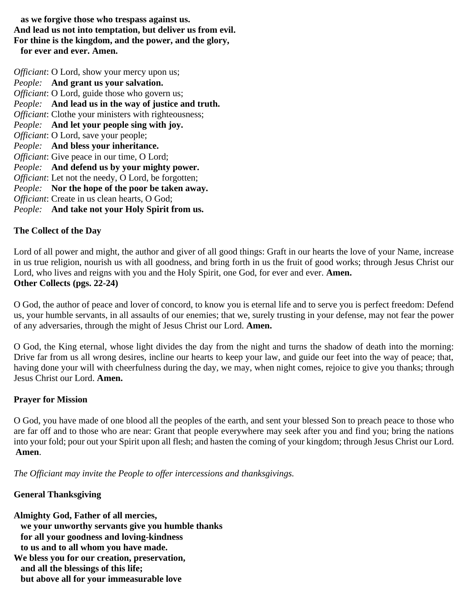**as we forgive those who trespass against us. And lead us not into temptation, but deliver us from evil. For thine is the kingdom, and the power, and the glory, for ever and ever. Amen.**

*Officiant*: O Lord, show your mercy upon us; *People:* **And grant us your salvation.** *Officiant*: O Lord, guide those who govern us; *People:* **And lead us in the way of justice and truth.** *Officiant*: Clothe your ministers with righteousness; *People:* **And let your people sing with joy.** *Officiant*: O Lord, save your people; *People:* **And bless your inheritance.** *Officiant*: Give peace in our time, O Lord; *People:* **And defend us by your mighty power.** *Officiant*: Let not the needy, O Lord, be forgotten; *People:* **Nor the hope of the poor be taken away.** *Officiant*: Create in us clean hearts, O God; *People:* **And take not your Holy Spirit from us.**

# **The Collect of the Day**

Lord of all power and might, the author and giver of all good things: Graft in our hearts the love of your Name, increase in us true religion, nourish us with all goodness, and bring forth in us the fruit of good works; through Jesus Christ our Lord, who lives and reigns with you and the Holy Spirit, one God, for ever and ever. **Amen. Other Collects (pgs. 22-24)**

O God, the author of peace and lover of concord, to know you is eternal life and to serve you is perfect freedom: Defend us, your humble servants, in all assaults of our enemies; that we, surely trusting in your defense, may not fear the power of any adversaries, through the might of Jesus Christ our Lord. **Amen.**

O God, the King eternal, whose light divides the day from the night and turns the shadow of death into the morning: Drive far from us all wrong desires, incline our hearts to keep your law, and guide our feet into the way of peace; that, having done your will with cheerfulness during the day, we may, when night comes, rejoice to give you thanks; through Jesus Christ our Lord. **Amen.**

# **Prayer for Mission**

O God, you have made of one blood all the peoples of the earth, and sent your blessed Son to preach peace to those who are far off and to those who are near: Grant that people everywhere may seek after you and find you; bring the nations into your fold; pour out your Spirit upon all flesh; and hasten the coming of your kingdom; through Jesus Christ our Lord. **Amen**.

*The Officiant may invite the People to offer intercessions and thanksgivings.*

# **General Thanksgiving**

**Almighty God, Father of all mercies, we your unworthy servants give you humble thanks for all your goodness and loving-kindness to us and to all whom you have made. We bless you for our creation, preservation, and all the blessings of this life; but above all for your immeasurable love**